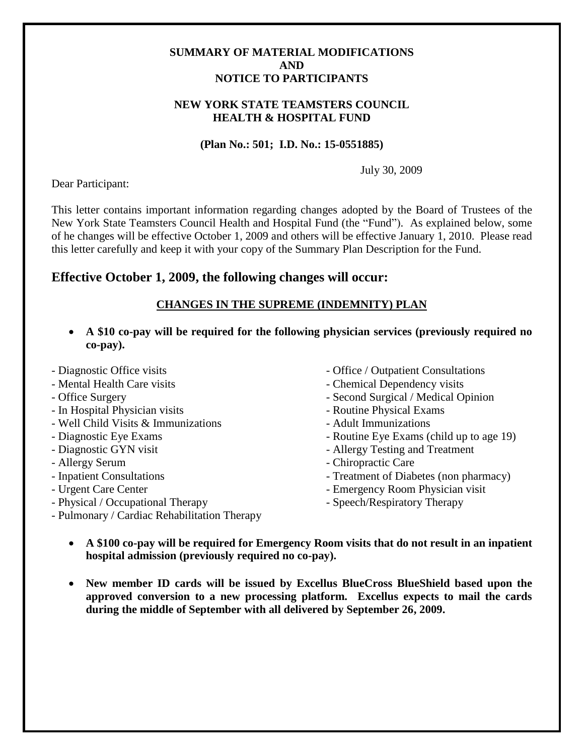### **SUMMARY OF MATERIAL MODIFICATIONS AND NOTICE TO PARTICIPANTS**

### **NEW YORK STATE TEAMSTERS COUNCIL HEALTH & HOSPITAL FUND**

### **(Plan No.: 501; I.D. No.: 15-0551885)**

July 30, 2009

Dear Participant:

This letter contains important information regarding changes adopted by the Board of Trustees of the New York State Teamsters Council Health and Hospital Fund (the "Fund"). As explained below, some of he changes will be effective October 1, 2009 and others will be effective January 1, 2010. Please read this letter carefully and keep it with your copy of the Summary Plan Description for the Fund.

# **Effective October 1, 2009, the following changes will occur:**

# **CHANGES IN THE SUPREME (INDEMNITY) PLAN**

- **A \$10 co-pay will be required for the following physician services (previously required no co-pay).**
- 
- 
- 
- In Hospital Physician visits Routine Physical Exams
- Well Child Visits & Immunizations Adult Immunizations
- 
- 
- 
- 
- 
- Physical / Occupational Therapy Speech/Respiratory Therapy
- Pulmonary / Cardiac Rehabilitation Therapy
- Diagnostic Office visits Office / Outpatient Consultations
- Mental Health Care visits Chemical Dependency visits
- Office Surgery Second Surgical / Medical Opinion
	-
	-
- Diagnostic Eye Exams  $\sim$  Routine Eye Exams (child up to age 19)
- Diagnostic GYN visit  $\blacksquare$
- Allergy Serum  $\overline{\phantom{a}}$  Chiropractic Care
- Inpatient Consultations Treatment of Diabetes (non pharmacy)
- Urgent Care Center Emergency Room Physician visit
	-
	- **A \$100 co-pay will be required for Emergency Room visits that do not result in an inpatient hospital admission (previously required no co-pay).**
	- **New member ID cards will be issued by Excellus BlueCross BlueShield based upon the approved conversion to a new processing platform. Excellus expects to mail the cards during the middle of September with all delivered by September 26, 2009.**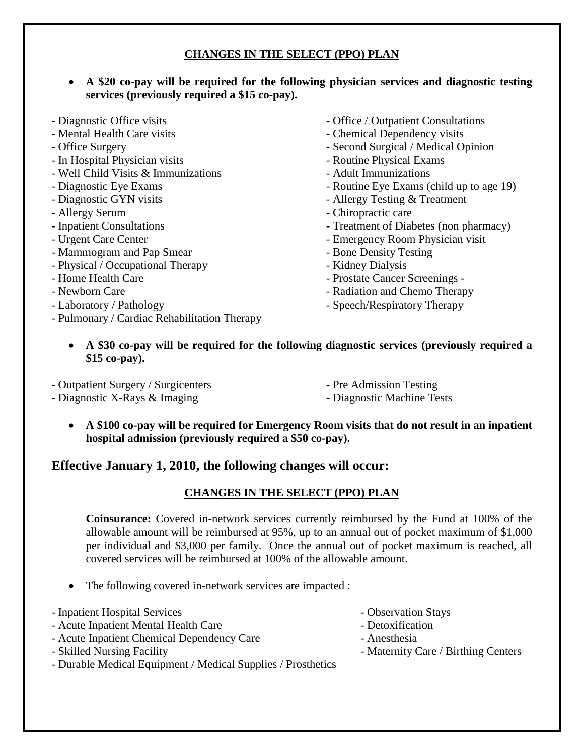# **CHANGES IN THE SELECT (PPO) PLAN**

## **A \$20 co-pay will be required for the following physician services and diagnostic testing services (previously required a \$15 co-pay).**

- 
- 
- 
- In Hospital Physician visits Routine Physical Exams
- Well Child Visits & Immunizations Adult Immunizations
- 
- 
- 
- 
- 
- Mammogram and Pap Smear Bone Density Testing
- Physical / Occupational Therapy Kidney Dialysis
- 
- 
- 
- Pulmonary / Cardiac Rehabilitation Therapy
- Diagnostic Office visits Office / Outpatient Consultations<br>- Mental Health Care visits Chemical Dependency visits
	- Chemical Dependency visits
- Office Surgery  **Second Surgical / Medical Opinion** 
	-
	-
- Diagnostic Eye Exams Routine Eye Exams (child up to age 19)
- Diagnostic GYN visits Allergy Testing & Treatment
- Allergy Serum  $\sim$  Chiropractic care
- Inpatient Consultations Treatment of Diabetes (non pharmacy)
- Urgent Care Center Emergency Room Physician visit
	-
	-
- Home Health Care  $\overline{\phantom{a}}$  Prostate Cancer Screenings -
- Newborn Care  **Radiation and Chemo Therapy**
- Laboratory / Pathology Speech/Respiratory Therapy
	- **A \$30 co-pay will be required for the following diagnostic services (previously required a \$15 co-pay).**

| - Outpatient Surgery / Surgicenters | - Pre Admission Testing    |
|-------------------------------------|----------------------------|
| - Diagnostic X-Rays & Imaging       | - Diagnostic Machine Tests |

- 
- **A \$100 co-pay will be required for Emergency Room visits that do not result in an inpatient hospital admission (previously required a \$50 co-pay).**

# **Effective January 1, 2010, the following changes will occur:**

## **CHANGES IN THE SELECT (PPO) PLAN**

**Coinsurance:** Covered in-network services currently reimbursed by the Fund at 100% of the allowable amount will be reimbursed at 95%, up to an annual out of pocket maximum of \$1,000 per individual and \$3,000 per family. Once the annual out of pocket maximum is reached, all covered services will be reimbursed at 100% of the allowable amount.

- The following covered in-network services are impacted :
- Inpatient Hospital Services  **Observation Stays**
- Acute Inpatient Mental Health Care  **Permitted Franch** Detoxification
- Acute Inpatient Chemical Dependency Care Anesthesia
- 
- -
	-
- Skilled Nursing Facility  **Maternity Care / Birthing Centers**
- Durable Medical Equipment / Medical Supplies / Prosthetics